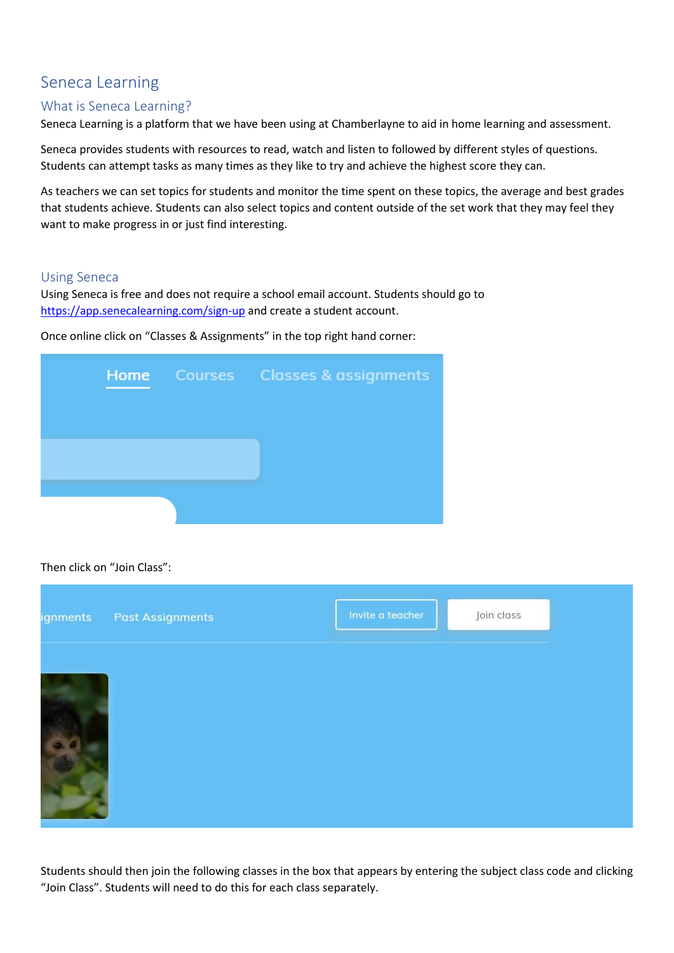# Seneca Learning

## What is Seneca Learning?

Seneca Learning is a platform that we have been using at Chamberlayne to aid in home learning and assessment.

Seneca provides students with resources to read, watch and listen to followed by different styles of questions. Students can attempt tasks as many times as they like to try and achieve the highest score they can.

As teachers we can set topics for students and monitor the time spent on these topics, the average and best grades that students achieve. Students can also select topics and content outside of the set work that they may feel they want to make progress in or just find interesting.

### Using Seneca

Using Seneca is free and does not require a school email account. Students should go to <https://app.senecalearning.com/sign-up> and create a student account.

Once online click on "Classes & Assignments" in the top right hand corner:



### Then click on "Join Class":



Students should then join the following classes in the box that appears by entering the subject class code and clicking "Join Class". Students will need to do this for each class separately.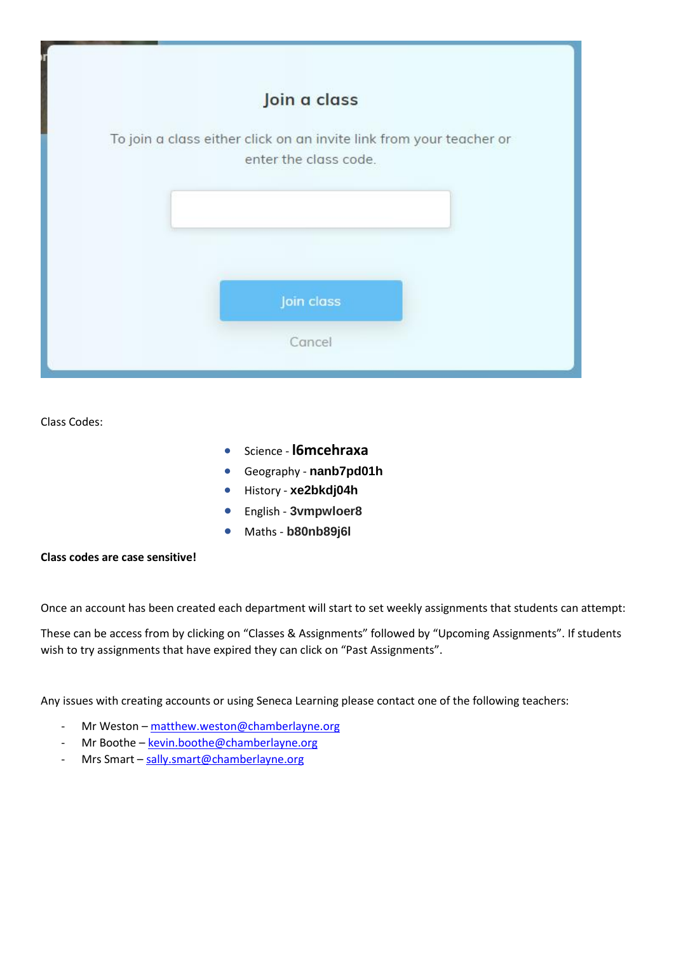

Class Codes:

- Science **l6mcehraxa**
- Geography **nanb7pd01h**
- History **xe2bkdj04h**
- English **3vmpwloer8**
- Maths **b80nb89j6l**

#### **Class codes are case sensitive!**

Once an account has been created each department will start to set weekly assignments that students can attempt:

These can be access from by clicking on "Classes & Assignments" followed by "Upcoming Assignments". If students wish to try assignments that have expired they can click on "Past Assignments".

Any issues with creating accounts or using Seneca Learning please contact one of the following teachers:

- Mr Weston [matthew.weston@chamberlayne.org](mailto:matthew.weston@chamberlayne.org)
- Mr Boothe [kevin.boothe@chamberlayne.org](mailto:kevin.boothe@chamberlayne.org)
- Mrs Smart [sally.smart@chamberlayne.org](mailto:sally.smart@chamberlayne.org)